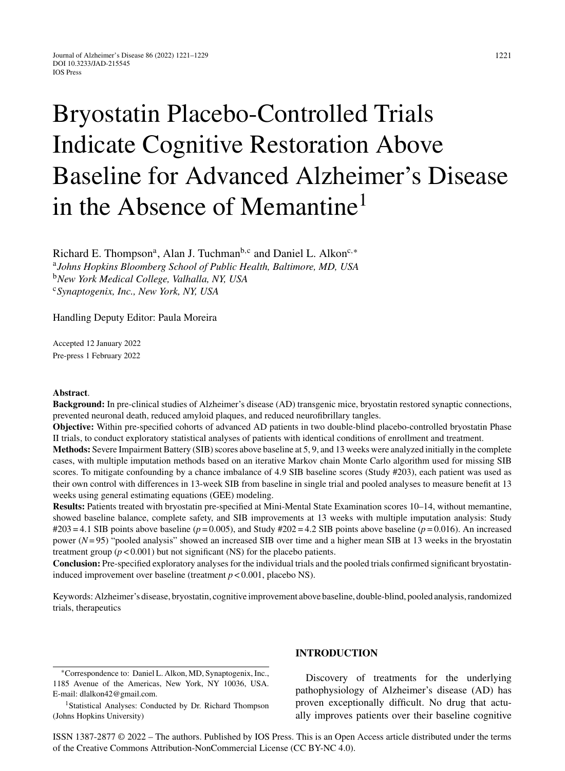# Bryostatin Placebo-Controlled Trials Indicate Cognitive Restoration Above Baseline for Advanced Alzheimer's Disease in the Absence of Memantine<sup>1</sup>

Richard E. Thompson<sup>a</sup>, Alan J. Tuchman<sup>b,c</sup> and Daniel L. Alkon<sup>c,∗</sup> <sup>a</sup>*Johns Hopkins Bloomberg School of Public Health, Baltimore, MD, USA* <sup>b</sup>*New York Medical College, Valhalla, NY, USA* <sup>c</sup>*Synaptogenix, Inc., New York, NY, USA*

Handling Deputy Editor: Paula Moreira

Accepted 12 January 2022 Pre-press 1 February 2022

#### **Abstract**.

**Background:** In pre-clinical studies of Alzheimer's disease (AD) transgenic mice, bryostatin restored synaptic connections, prevented neuronal death, reduced amyloid plaques, and reduced neurofibrillary tangles.

**Objective:** Within pre-specified cohorts of advanced AD patients in two double-blind placebo-controlled bryostatin Phase II trials, to conduct exploratory statistical analyses of patients with identical conditions of enrollment and treatment.

**Methods:** Severe Impairment Battery (SIB) scores above baseline at 5, 9, and 13 weeks were analyzed initially in the complete cases, with multiple imputation methods based on an iterative Markov chain Monte Carlo algorithm used for missing SIB scores. To mitigate confounding by a chance imbalance of 4.9 SIB baseline scores (Study #203), each patient was used as their own control with differences in 13-week SIB from baseline in single trial and pooled analyses to measure benefit at 13 weeks using general estimating equations (GEE) modeling.

**Results:** Patients treated with bryostatin pre-specified at Mini-Mental State Examination scores 10–14, without memantine, showed baseline balance, complete safety, and SIB improvements at 13 weeks with multiple imputation analysis: Study  $\#203 = 4.1$  SIB points above baseline ( $p = 0.005$ ), and Study  $\#202 = 4.2$  SIB points above baseline ( $p = 0.016$ ). An increased power (*N*= 95) "pooled analysis" showed an increased SIB over time and a higher mean SIB at 13 weeks in the bryostatin treatment group  $(p < 0.001)$  but not significant (NS) for the placebo patients.

**Conclusion:** Pre-specified exploratory analyses for the individual trials and the pooled trials confirmed significant bryostatininduced improvement over baseline (treatment *p* < 0.001, placebo NS).

Keywords: Alzheimer's disease, bryostatin, cognitive improvement above baseline, double-blind, pooled analysis, randomized trials, therapeutics

∗Correspondence to: Daniel L. Alkon, MD, Synaptogenix, Inc., 1185 Avenue of the Americas, New York, NY 10036, USA. E-mail: [dlalkon42@gmail.com.](mailto:dlalkon42@gmail.com)

<sup>1</sup> Statistical Analyses: Conducted by Dr. Richard Thompson (Johns Hopkins University)

# **INTRODUCTION**

Discovery of treatments for the underlying pathophysiology of Alzheimer's disease (AD) has proven exceptionally difficult. No drug that actually improves patients over their baseline cognitive

ISSN 1387-2877 © 2022 – The authors. Published by IOS Press. This is an Open Access article distributed under the terms of the [Creative Commons Attribution-NonCommercial License \(CC BY-NC 4.0\).](https://creativecommons.org/licenses/by-nc/4.0/)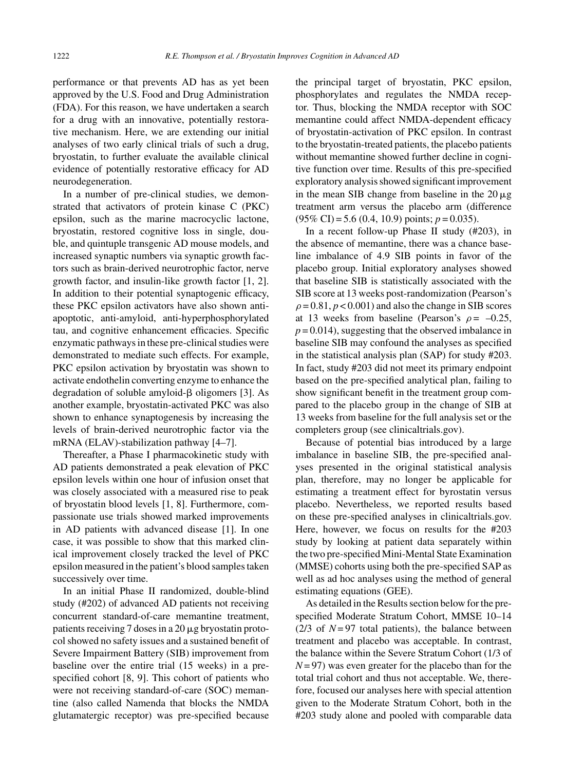performance or that prevents AD has as yet been approved by the U.S. Food and Drug Administration (FDA). For this reason, we have undertaken a search for a drug with an innovative, potentially restorative mechanism. Here, we are extending our initial analyses of two early clinical trials of such a drug, bryostatin, to further evaluate the available clinical evidence of potentially restorative efficacy for AD neurodegeneration.

In a number of pre-clinical studies, we demonstrated that activators of protein kinase C (PKC) epsilon, such as the marine macrocyclic lactone, bryostatin, restored cognitive loss in single, double, and quintuple transgenic AD mouse models, and increased synaptic numbers via synaptic growth factors such as brain-derived neurotrophic factor, nerve growth factor, and insulin-like growth factor [1, 2]. In addition to their potential synaptogenic efficacy, these PKC epsilon activators have also shown antiapoptotic, anti-amyloid, anti-hyperphosphorylated tau, and cognitive enhancement efficacies. Specific enzymatic pathways in these pre-clinical studies were demonstrated to mediate such effects. For example, PKC epsilon activation by bryostatin was shown to activate endothelin converting enzyme to enhance the degradation of soluble amyloid- $\beta$  oligomers [3]. As another example, bryostatin-activated PKC was also shown to enhance synaptogenesis by increasing the levels of brain-derived neurotrophic factor via the mRNA (ELAV)-stabilization pathway [4–7].

Thereafter, a Phase I pharmacokinetic study with AD patients demonstrated a peak elevation of PKC epsilon levels within one hour of infusion onset that was closely associated with a measured rise to peak of bryostatin blood levels [1, 8]. Furthermore, compassionate use trials showed marked improvements in AD patients with advanced disease [1]. In one case, it was possible to show that this marked clinical improvement closely tracked the level of PKC epsilon measured in the patient's blood samples taken successively over time.

In an initial Phase II randomized, double-blind study (#202) of advanced AD patients not receiving concurrent standard-of-care memantine treatment, patients receiving  $7$  doses in a  $20 \mu$ g bryostatin protocol showed no safety issues and a sustained benefit of Severe Impairment Battery (SIB) improvement from baseline over the entire trial (15 weeks) in a prespecified cohort [8, 9]. This cohort of patients who were not receiving standard-of-care (SOC) memantine (also called Namenda that blocks the NMDA glutamatergic receptor) was pre-specified because

the principal target of bryostatin, PKC epsilon, phosphorylates and regulates the NMDA receptor. Thus, blocking the NMDA receptor with SOC memantine could affect NMDA-dependent efficacy of bryostatin-activation of PKC epsilon. In contrast to the bryostatin-treated patients, the placebo patients without memantine showed further decline in cognitive function over time. Results of this pre-specified exploratory analysis showed significant improvement in the mean SIB change from baseline in the  $20 \mu$ g treatment arm versus the placebo arm (difference (95% CI) = 5.6 (0.4, 10.9) points; *p* = 0.035).

In a recent follow-up Phase II study (#203), in the absence of memantine, there was a chance baseline imbalance of 4.9 SIB points in favor of the placebo group. Initial exploratory analyses showed that baseline SIB is statistically associated with the SIB score at 13 weeks post-randomization (Pearson's  $\rho = 0.81$ ,  $p < 0.001$ ) and also the change in SIB scores at 13 weeks from baseline (Pearson's  $\rho = -0.25$ ,  $p = 0.014$ , suggesting that the observed imbalance in baseline SIB may confound the analyses as specified in the statistical analysis plan (SAP) for study #203. In fact, study #203 did not meet its primary endpoint based on the pre-specified analytical plan, failing to show significant benefit in the treatment group compared to the placebo group in the change of SIB at 13 weeks from baseline for the full analysis set or the completers group (see clinicaltrials.gov).

Because of potential bias introduced by a large imbalance in baseline SIB, the pre-specified analyses presented in the original statistical analysis plan, therefore, may no longer be applicable for estimating a treatment effect for byrostatin versus placebo. Nevertheless, we reported results based on these pre-specified analyses in clinicaltrials.gov. Here, however, we focus on results for the #203 study by looking at patient data separately within the two pre-specified Mini-Mental State Examination (MMSE) cohorts using both the pre-specified SAP as well as ad hoc analyses using the method of general estimating equations (GEE).

As detailed in the Results section below for the prespecified Moderate Stratum Cohort, MMSE 10–14  $(2/3)$  of  $N=97$  total patients), the balance between treatment and placebo was acceptable. In contrast, the balance within the Severe Stratum Cohort (1/3 of  $N = 97$ ) was even greater for the placebo than for the total trial cohort and thus not acceptable. We, therefore, focused our analyses here with special attention given to the Moderate Stratum Cohort, both in the #203 study alone and pooled with comparable data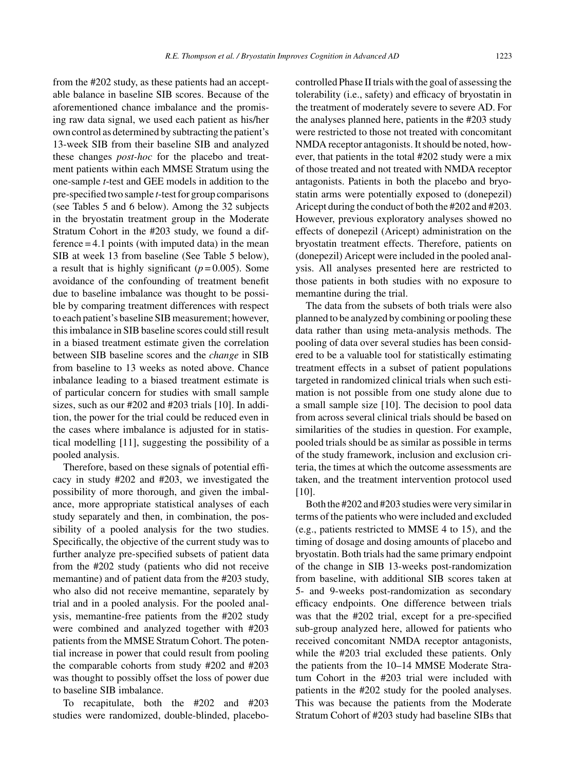from the #202 study, as these patients had an acceptable balance in baseline SIB scores. Because of the aforementioned chance imbalance and the promising raw data signal, we used each patient as his/her own control as determined by subtracting the patient's 13-week SIB from their baseline SIB and analyzed these changes *post-hoc* for the placebo and treatment patients within each MMSE Stratum using the one-sample *t*-test and GEE models in addition to the pre-specified two sample *t*-test for group comparisons (see Tables 5 and 6 below). Among the 32 subjects in the bryostatin treatment group in the Moderate Stratum Cohort in the #203 study, we found a dif $f$  ference  $=$  4.1 points (with imputed data) in the mean SIB at week 13 from baseline (See Table 5 below), a result that is highly significant  $(p=0.005)$ . Some avoidance of the confounding of treatment benefit due to baseline imbalance was thought to be possible by comparing treatment differences with respect to each patient's baseline SIB measurement; however, this imbalance in SIB baseline scores could still result in a biased treatment estimate given the correlation between SIB baseline scores and the *change* in SIB from baseline to 13 weeks as noted above. Chance inbalance leading to a biased treatment estimate is of particular concern for studies with small sample sizes, such as our #202 and #203 trials [10]. In addition, the power for the trial could be reduced even in the cases where imbalance is adjusted for in statistical modelling [11], suggesting the possibility of a pooled analysis.

Therefore, based on these signals of potential efficacy in study #202 and #203, we investigated the possibility of more thorough, and given the imbalance, more appropriate statistical analyses of each study separately and then, in combination, the possibility of a pooled analysis for the two studies. Specifically, the objective of the current study was to further analyze pre-specified subsets of patient data from the #202 study (patients who did not receive memantine) and of patient data from the #203 study, who also did not receive memantine, separately by trial and in a pooled analysis. For the pooled analysis, memantine-free patients from the #202 study were combined and analyzed together with #203 patients from the MMSE Stratum Cohort. The potential increase in power that could result from pooling the comparable cohorts from study #202 and #203 was thought to possibly offset the loss of power due to baseline SIB imbalance.

To recapitulate, both the #202 and #203 studies were randomized, double-blinded, placebocontrolled Phase II trials with the goal of assessing the tolerability (i.e., safety) and efficacy of bryostatin in the treatment of moderately severe to severe AD. For the analyses planned here, patients in the #203 study were restricted to those not treated with concomitant NMDA receptor antagonists. It should be noted, however, that patients in the total #202 study were a mix of those treated and not treated with NMDA receptor antagonists. Patients in both the placebo and bryostatin arms were potentially exposed to (donepezil) Aricept during the conduct of both the #202 and #203. However, previous exploratory analyses showed no effects of donepezil (Aricept) administration on the bryostatin treatment effects. Therefore, patients on (donepezil) Aricept were included in the pooled analysis. All analyses presented here are restricted to those patients in both studies with no exposure to memantine during the trial.

The data from the subsets of both trials were also planned to be analyzed by combining or pooling these data rather than using meta-analysis methods. The pooling of data over several studies has been considered to be a valuable tool for statistically estimating treatment effects in a subset of patient populations targeted in randomized clinical trials when such estimation is not possible from one study alone due to a small sample size [10]. The decision to pool data from across several clinical trials should be based on similarities of the studies in question. For example, pooled trials should be as similar as possible in terms of the study framework, inclusion and exclusion criteria, the times at which the outcome assessments are taken, and the treatment intervention protocol used [10].

Both the #202 and #203 studies were very similar in terms of the patients who were included and excluded (e.g., patients restricted to MMSE 4 to 15), and the timing of dosage and dosing amounts of placebo and bryostatin. Both trials had the same primary endpoint of the change in SIB 13-weeks post-randomization from baseline, with additional SIB scores taken at 5- and 9-weeks post-randomization as secondary efficacy endpoints. One difference between trials was that the #202 trial, except for a pre-specified sub-group analyzed here, allowed for patients who received concomitant NMDA receptor antagonists, while the #203 trial excluded these patients. Only the patients from the 10–14 MMSE Moderate Stratum Cohort in the #203 trial were included with patients in the #202 study for the pooled analyses. This was because the patients from the Moderate Stratum Cohort of #203 study had baseline SIBs that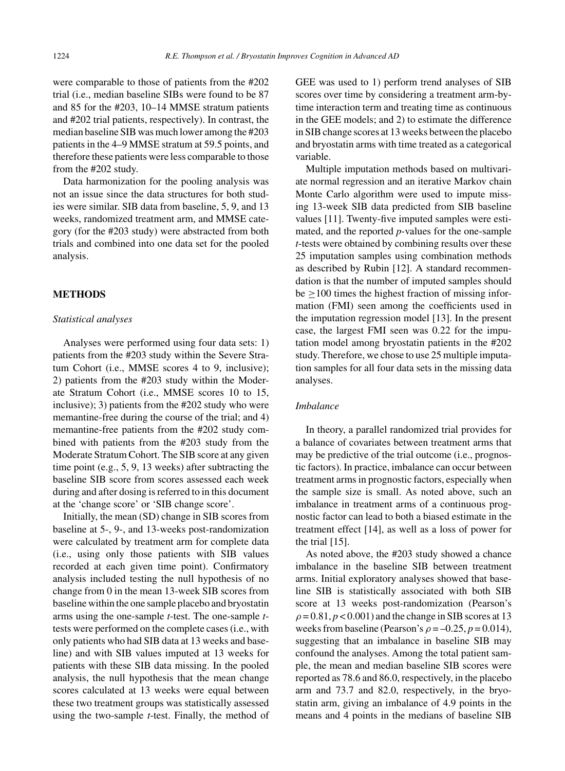were comparable to those of patients from the #202 trial (i.e., median baseline SIBs were found to be 87 and 85 for the #203, 10–14 MMSE stratum patients and #202 trial patients, respectively). In contrast, the median baseline SIB was much lower among the #203 patients in the 4–9 MMSE stratum at 59.5 points, and therefore these patients were less comparable to those from the #202 study.

Data harmonization for the pooling analysis was not an issue since the data structures for both studies were similar. SIB data from baseline, 5, 9, and 13 weeks, randomized treatment arm, and MMSE category (for the #203 study) were abstracted from both trials and combined into one data set for the pooled analysis.

#### **METHODS**

#### *Statistical analyses*

Analyses were performed using four data sets: 1) patients from the #203 study within the Severe Stratum Cohort (i.e., MMSE scores 4 to 9, inclusive); 2) patients from the #203 study within the Moderate Stratum Cohort (i.e., MMSE scores 10 to 15, inclusive); 3) patients from the #202 study who were memantine-free during the course of the trial; and 4) memantine-free patients from the #202 study combined with patients from the #203 study from the Moderate Stratum Cohort. The SIB score at any given time point (e.g., 5, 9, 13 weeks) after subtracting the baseline SIB score from scores assessed each week during and after dosing is referred to in this document at the 'change score' or 'SIB change score'.

Initially, the mean (SD) change in SIB scores from baseline at 5-, 9-, and 13-weeks post-randomization were calculated by treatment arm for complete data (i.e., using only those patients with SIB values recorded at each given time point). Confirmatory analysis included testing the null hypothesis of no change from 0 in the mean 13-week SIB scores from baseline within the one sample placebo and bryostatin arms using the one-sample *t*-test. The one-sample *t*tests were performed on the complete cases (i.e., with only patients who had SIB data at 13 weeks and baseline) and with SIB values imputed at 13 weeks for patients with these SIB data missing. In the pooled analysis, the null hypothesis that the mean change scores calculated at 13 weeks were equal between these two treatment groups was statistically assessed using the two-sample *t*-test. Finally, the method of GEE was used to 1) perform trend analyses of SIB scores over time by considering a treatment arm-bytime interaction term and treating time as continuous in the GEE models; and 2) to estimate the difference in SIB change scores at 13 weeks between the placebo and bryostatin arms with time treated as a categorical variable.

Multiple imputation methods based on multivariate normal regression and an iterative Markov chain Monte Carlo algorithm were used to impute missing 13-week SIB data predicted from SIB baseline values [11]. Twenty-five imputed samples were estimated, and the reported *p*-values for the one-sample *t*-tests were obtained by combining results over these 25 imputation samples using combination methods as described by Rubin [12]. A standard recommendation is that the number of imputed samples should  $be \geq 100$  times the highest fraction of missing information (FMI) seen among the coefficients used in the imputation regression model [13]. In the present case, the largest FMI seen was 0.22 for the imputation model among bryostatin patients in the #202 study. Therefore, we chose to use 25 multiple imputation samples for all four data sets in the missing data analyses.

## *Imbalance*

In theory, a parallel randomized trial provides for a balance of covariates between treatment arms that may be predictive of the trial outcome (i.e., prognostic factors). In practice, imbalance can occur between treatment arms in prognostic factors, especially when the sample size is small. As noted above, such an imbalance in treatment arms of a continuous prognostic factor can lead to both a biased estimate in the treatment effect [14], as well as a loss of power for the trial [15].

As noted above, the #203 study showed a chance imbalance in the baseline SIB between treatment arms. Initial exploratory analyses showed that baseline SIB is statistically associated with both SIB score at 13 weeks post-randomization (Pearson's  $\rho = 0.81, p < 0.001$ ) and the change in SIB scores at 13 weeks from baseline (Pearson's  $\rho = -0.25$ ,  $p = 0.014$ ), suggesting that an imbalance in baseline SIB may confound the analyses. Among the total patient sample, the mean and median baseline SIB scores were reported as 78.6 and 86.0, respectively, in the placebo arm and 73.7 and 82.0, respectively, in the bryostatin arm, giving an imbalance of 4.9 points in the means and 4 points in the medians of baseline SIB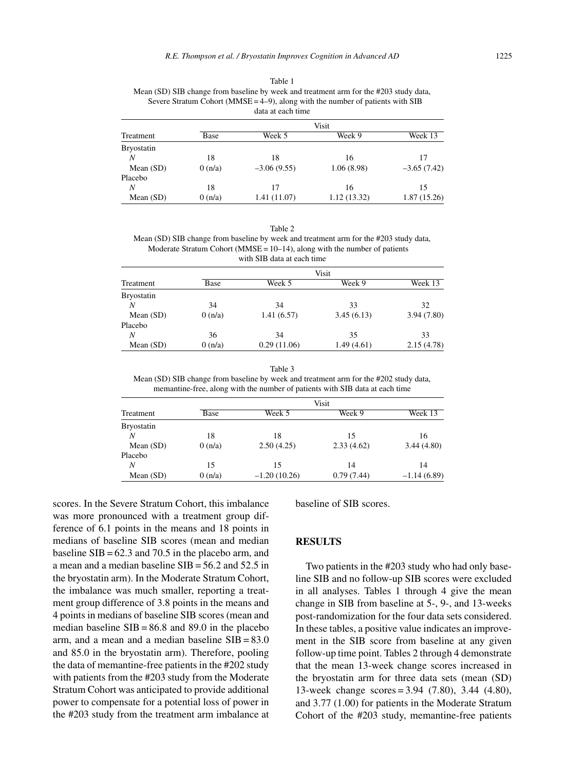Table 1 Mean (SD) SIB change from baseline by week and treatment arm for the #203 study data, Severe Stratum Cohort ( $MMSE = 4-9$ ), along with the number of patients with SIB data at each time

|                   | Visit  |               |             |               |
|-------------------|--------|---------------|-------------|---------------|
| Treatment         | Base   | Week 5        | Week 9      | Week 13       |
| <b>Bryostatin</b> |        |               |             |               |
| N                 | 18     | 18            | 16          | 17            |
| Mean $(SD)$       | 0(n/a) | $-3.06(9.55)$ | 1.06 (8.98) | $-3.65(7.42)$ |
| Placebo           |        |               |             |               |
| N                 | 18     | 17            | 16          | 15            |
| Mean $(SD)$       | 0(n/a) | 1.41 (11.07)  | 1.12(13.32) | 1.87(15.26)   |

| ٧<br>۰,<br>٠ |  |
|--------------|--|
|--------------|--|

Mean (SD) SIB change from baseline by week and treatment arm for the #203 study data, Moderate Stratum Cohort ( $MMSE = 10-14$ ), along with the number of patients with SIB data at each time

|                   | Visit  |             |            |            |
|-------------------|--------|-------------|------------|------------|
| Treatment         | Base   | Week 5      | Week 9     | Week 13    |
| <b>Bryostatin</b> |        |             |            |            |
| N                 | 34     | 34          | 33         | 32         |
| Mean $(SD)$       | 0(n/a) | 1.41(6.57)  | 3.45(6.13) | 3.94(7.80) |
| Placebo           |        |             |            |            |
| N                 | 36     | 34          | 35         | 33         |
| Mean $(SD)$       | 0(n/a) | 0.29(11.06) | 1.49(4.61) | 2.15(4.78) |

Table 3 Mean (SD) SIB change from baseline by week and treatment arm for the #202 study data, memantine-free, along with the number of patients with SIB data at each time

|                   | Visit  |                |            |               |
|-------------------|--------|----------------|------------|---------------|
| Treatment         | Base   | Week 5         | Week 9     | Week 13       |
| <b>Bryostatin</b> |        |                |            |               |
| N                 | 18     | 18             | 15         | 16            |
| Mean $(SD)$       | 0(n/a) | 2.50(4.25)     | 2.33(4.62) | 3.44(4.80)    |
| Placebo           |        |                |            |               |
| N                 | 15     | 15             | 14         | 14            |
| Mean $(SD)$       | 0(n/a) | $-1.20(10.26)$ | 0.79(7.44) | $-1.14(6.89)$ |

scores. In the Severe Stratum Cohort, this imbalance was more pronounced with a treatment group difference of 6.1 points in the means and 18 points in medians of baseline SIB scores (mean and median baseline  $SIB = 62.3$  and 70.5 in the placebo arm, and a mean and a median baseline SIB = 56.2 and 52.5 in the bryostatin arm). In the Moderate Stratum Cohort, the imbalance was much smaller, reporting a treatment group difference of 3.8 points in the means and 4 points in medians of baseline SIB scores (mean and median baseline  $SIB = 86.8$  and 89.0 in the placebo arm, and a mean and a median baseline  $SIB = 83.0$ and 85.0 in the bryostatin arm). Therefore, pooling the data of memantine-free patients in the #202 study with patients from the #203 study from the Moderate Stratum Cohort was anticipated to provide additional power to compensate for a potential loss of power in the #203 study from the treatment arm imbalance at

baseline of SIB scores.

#### **RESULTS**

Two patients in the #203 study who had only baseline SIB and no follow-up SIB scores were excluded in all analyses. Tables 1 through 4 give the mean change in SIB from baseline at 5-, 9-, and 13-weeks post-randomization for the four data sets considered. In these tables, a positive value indicates an improvement in the SIB score from baseline at any given follow-up time point. Tables 2 through 4 demonstrate that the mean 13-week change scores increased in the bryostatin arm for three data sets (mean (SD) 13-week change scores = 3.94 (7.80), 3.44 (4.80), and 3.77 (1.00) for patients in the Moderate Stratum Cohort of the #203 study, memantine-free patients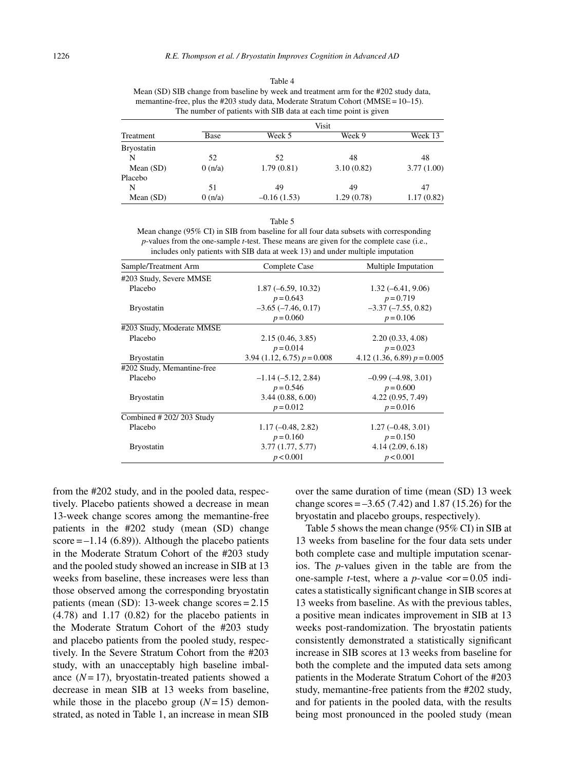Table 4 Mean (SD) SIB change from baseline by week and treatment arm for the #202 study data, memantine-free, plus the #203 study data, Moderate Stratum Cohort (MMSE = 10-15). The number of patients with SIB data at each time point is given

|                   |        |               | Visit      |            |
|-------------------|--------|---------------|------------|------------|
| Treatment         | Base   | Week 5        | Week 9     | Week 13    |
| <b>Bryostatin</b> |        |               |            |            |
| N                 | 52     | 52            | 48         | 48         |
| Mean $(SD)$       | 0(n/a) | 1.79(0.81)    | 3.10(0.82) | 3.77(1.00) |
| Placebo           |        |               |            |            |
| N                 | 51     | 49            | 49         | 47         |
| Mean $(SD)$       | 0(n/a) | $-0.16(1.53)$ | 1.29(0.78) | 1.17(0.82) |

|--|--|

Mean change (95% CI) in SIB from baseline for all four data subsets with corresponding *p*-values from the one-sample *t*-test. These means are given for the complete case (i.e., includes only patients with SIB data at week 13) and under multiple imputation

| Sample/Treatment Arm       | Complete Case                 | Multiple Imputation           |
|----------------------------|-------------------------------|-------------------------------|
| #203 Study, Severe MMSE    |                               |                               |
| Placebo                    | $1.87(-6.59, 10.32)$          | $1.32(-6.41, 9.06)$           |
|                            | $p = 0.643$                   | $p = 0.719$                   |
| <b>Bryostatin</b>          | $-3.65$ $(-7.46, 0.17)$       | $-3.37$ $(-7.55, 0.82)$       |
|                            | $p = 0.060$                   | $p = 0.106$                   |
| #203 Study, Moderate MMSE  |                               |                               |
| Placebo                    | 2.15(0.46, 3.85)              | 2.20(0.33, 4.08)              |
|                            | $p = 0.014$                   | $p = 0.023$                   |
| <b>Bryostatin</b>          | 3.94 (1.12, 6.75) $p = 0.008$ | 4.12 (1.36, 6.89) $p = 0.005$ |
| #202 Study, Memantine-free |                               |                               |
| Placebo                    | $-1.14(-5.12, 2.84)$          | $-0.99(-4.98, 3.01)$          |
|                            | $p = 0.546$                   | $p = 0.600$                   |
| <b>Bryostatin</b>          | 3.44(0.88, 6.00)              | 4.22(0.95, 7.49)              |
|                            | $p = 0.012$                   | $p = 0.016$                   |
| Combined # 202/203 Study   |                               |                               |
| Placebo                    | $1.17(-0.48, 2.82)$           | $1.27(-0.48, 3.01)$           |
|                            | $p = 0.160$                   | $p = 0.150$                   |
| <b>Bryostatin</b>          | 3.77(1.77, 5.77)              | 4.14(2.09, 6.18)              |
|                            | p < 0.001                     | p < 0.001                     |

from the #202 study, and in the pooled data, respectively. Placebo patients showed a decrease in mean 13-week change scores among the memantine-free patients in the #202 study (mean (SD) change score  $=-1.14$  (6.89)). Although the placebo patients in the Moderate Stratum Cohort of the #203 study and the pooled study showed an increase in SIB at 13 weeks from baseline, these increases were less than those observed among the corresponding bryostatin patients (mean (SD): 13-week change scores = 2.15 (4.78) and 1.17 (0.82) for the placebo patients in the Moderate Stratum Cohort of the #203 study and placebo patients from the pooled study, respectively. In the Severe Stratum Cohort from the #203 study, with an unacceptably high baseline imbalance  $(N=17)$ , bryostatin-treated patients showed a decrease in mean SIB at 13 weeks from baseline, while those in the placebo group  $(N=15)$  demonstrated, as noted in Table 1, an increase in mean SIB

over the same duration of time (mean (SD) 13 week change scores  $=-3.65(7.42)$  and 1.87 (15.26) for the bryostatin and placebo groups, respectively).

Table 5 shows the mean change (95% CI) in SIB at 13 weeks from baseline for the four data sets under both complete case and multiple imputation scenarios. The *p*-values given in the table are from the one-sample *t*-test, where a *p*-value  $\langle \text{or} = 0.05 \text{ indi} \rangle$ cates a statistically significant change in SIB scores at 13 weeks from baseline. As with the previous tables, a positive mean indicates improvement in SIB at 13 weeks post-randomization. The bryostatin patients consistently demonstrated a statistically significant increase in SIB scores at 13 weeks from baseline for both the complete and the imputed data sets among patients in the Moderate Stratum Cohort of the #203 study, memantine-free patients from the #202 study, and for patients in the pooled data, with the results being most pronounced in the pooled study (mean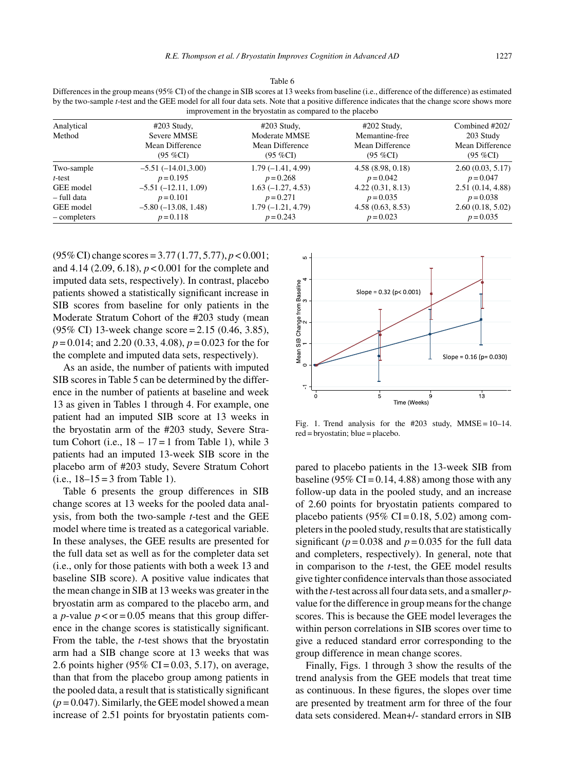|                                                                                                                                                                                                                   | Differences in the group means (30 % C1) of the change in SID scores at 10 weeks from baseline (1.e., unference of the unference) as estimated |                     |                  |                  |
|-------------------------------------------------------------------------------------------------------------------------------------------------------------------------------------------------------------------|------------------------------------------------------------------------------------------------------------------------------------------------|---------------------|------------------|------------------|
| by the two-sample <i>t</i> -test and the GEE model for all four data sets. Note that a positive difference indicates that the change score shows more<br>improvement in the bryostatin as compared to the placebo |                                                                                                                                                |                     |                  |                  |
| Analytical                                                                                                                                                                                                        | $\#203$ Study,                                                                                                                                 | $\#203$ Study,      | $\#202$ Study,   | Combined #202/   |
| Method                                                                                                                                                                                                            | Severe MMSE                                                                                                                                    | Moderate MMSE       | Memantine-free   | 203 Study        |
|                                                                                                                                                                                                                   | Mean Difference                                                                                                                                | Mean Difference     | Mean Difference  | Mean Difference  |
|                                                                                                                                                                                                                   | $(95\%CI)$                                                                                                                                     | $(95 \%CI)$         | $(95 \%CI)$      | $(95\%CI)$       |
| Two-sample                                                                                                                                                                                                        | $-5.51(-14.01,3.00)$                                                                                                                           | $1.79(-1.41, 4.99)$ | 4.58(8.98, 0.18) | 2.60(0.03, 5.17) |
| $t$ -test                                                                                                                                                                                                         | $p = 0.195$                                                                                                                                    | $p = 0.268$         | $p = 0.042$      | $p = 0.047$      |
| GEE model                                                                                                                                                                                                         | $-5.51(-12.11, 1.09)$                                                                                                                          | $1.63(-1.27, 4.53)$ | 4.22(0.31, 8.13) | 2.51(0.14, 4.88) |
| - full data                                                                                                                                                                                                       | $p = 0.101$                                                                                                                                    | $p = 0.271$         | $p = 0.035$      | $p = 0.038$      |
| GEE model                                                                                                                                                                                                         | $-5.80(-13.08, 1.48)$                                                                                                                          | $1.79(-1.21, 4.79)$ | 4.58(0.63, 8.53) | 2.60(0.18, 5.02) |
| - completers                                                                                                                                                                                                      | $p = 0.118$                                                                                                                                    | $p = 0.243$         | $p = 0.023$      | $p = 0.035$      |

Table  $6 \cdot 12 \cdot 5$  $\sigma$  from baseline (i.e., difference of the difference

(95% CI) change scores = 3.77 (1.77, 5.77), *p* < 0.001; and 4.14 (2.09, 6.18), *p* < 0.001 for the complete and imputed data sets, respectively). In contrast, placebo patients showed a statistically significant increase in SIB scores from baseline for only patients in the Moderate Stratum Cohort of the #203 study (mean (95% CI) 13-week change score = 2.15 (0.46, 3.85), *p* = 0.014; and 2.20 (0.33, 4.08), *p* = 0.023 for the for the complete and imputed data sets, respectively).

As an aside, the number of patients with imputed SIB scores in Table 5 can be determined by the difference in the number of patients at baseline and week 13 as given in Tables 1 through 4. For example, one patient had an imputed SIB score at 13 weeks in the bryostatin arm of the #203 study, Severe Stratum Cohort (i.e.,  $18 - 17 = 1$  from Table 1), while 3 patients had an imputed 13-week SIB score in the placebo arm of #203 study, Severe Stratum Cohort  $(i.e., 18-15=3$  from Table 1).

Table 6 presents the group differences in SIB change scores at 13 weeks for the pooled data analysis, from both the two-sample *t*-test and the GEE model where time is treated as a categorical variable. In these analyses, the GEE results are presented for the full data set as well as for the completer data set (i.e., only for those patients with both a week 13 and baseline SIB score). A positive value indicates that the mean change in SIB at 13 weeks was greater in the bryostatin arm as compared to the placebo arm, and a *p*-value  $p < or = 0.05$  means that this group difference in the change scores is statistically significant. From the table, the *t*-test shows that the bryostatin arm had a SIB change score at 13 weeks that was 2.6 points higher (95% CI = 0.03, 5.17), on average, than that from the placebo group among patients in the pooled data, a result that is statistically significant  $(p = 0.047)$ . Similarly, the GEE model showed a mean increase of 2.51 points for bryostatin patients com-



Fig. 1. Trend analysis for the  $#203$  study, MMSE = 10–14. red = bryostatin; blue = placebo.

pared to placebo patients in the 13-week SIB from baseline (95% CI =  $0.14$ , 4.88) among those with any follow-up data in the pooled study, and an increase of 2.60 points for bryostatin patients compared to placebo patients (95% CI =  $0.18$ , 5.02) among completers in the pooled study, results that are statistically significant ( $p = 0.038$  and  $p = 0.035$  for the full data and completers, respectively). In general, note that in comparison to the *t*-test, the GEE model results give tighter confidence intervals than those associated with the *t*-test across all four data sets, and a smaller *p*value for the difference in group means for the change scores. This is because the GEE model leverages the within person correlations in SIB scores over time to give a reduced standard error corresponding to the group difference in mean change scores.

Finally, Figs. 1 through 3 show the results of the trend analysis from the GEE models that treat time as continuous. In these figures, the slopes over time are presented by treatment arm for three of the four data sets considered. Mean+/- standard errors in SIB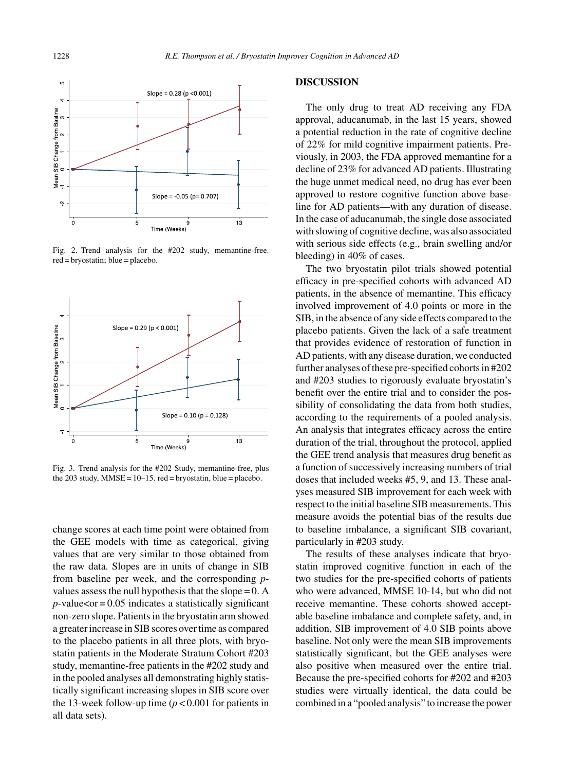

Fig. 2. Trend analysis for the #202 study, memantine-free. red = bryostatin; blue = placebo.



Fig. 3. Trend analysis for the #202 Study, memantine-free, plus the 203 study,  $MMSE = 10-15$ . red = bryostatin, blue = placebo.

change scores at each time point were obtained from the GEE models with time as categorical, giving values that are very similar to those obtained from the raw data. Slopes are in units of change in SIB from baseline per week, and the corresponding *p*values assess the null hypothesis that the slope  $= 0$ . A  $p$ -value<or = 0.05 indicates a statistically significant non-zero slope. Patients in the bryostatin arm showed a greater increase in SIB scores over time as compared to the placebo patients in all three plots, with bryostatin patients in the Moderate Stratum Cohort #203 study, memantine-free patients in the #202 study and in the pooled analyses all demonstrating highly statistically significant increasing slopes in SIB score over the 13-week follow-up time  $(p < 0.001$  for patients in all data sets).

### **DISCUSSION**

The only drug to treat AD receiving any FDA approval, aducanumab, in the last 15 years, showed a potential reduction in the rate of cognitive decline of 22% for mild cognitive impairment patients. Previously, in 2003, the FDA approved memantine for a decline of 23% for advanced AD patients. Illustrating the huge unmet medical need, no drug has ever been approved to restore cognitive function above baseline for AD patients—with any duration of disease. In the case of aducanumab, the single dose associated with slowing of cognitive decline, was also associated with serious side effects (e.g., brain swelling and/or bleeding) in 40% of cases.

The two bryostatin pilot trials showed potential efficacy in pre-specified cohorts with advanced AD patients, in the absence of memantine. This efficacy involved improvement of 4.0 points or more in the SIB, in the absence of any side effects compared to the placebo patients. Given the lack of a safe treatment that provides evidence of restoration of function in AD patients, with any disease duration, we conducted further analyses of these pre-specified cohorts in #202 and #203 studies to rigorously evaluate bryostatin's benefit over the entire trial and to consider the possibility of consolidating the data from both studies, according to the requirements of a pooled analysis. An analysis that integrates efficacy across the entire duration of the trial, throughout the protocol, applied the GEE trend analysis that measures drug benefit as a function of successively increasing numbers of trial doses that included weeks #5, 9, and 13. These analyses measured SIB improvement for each week with respect to the initial baseline SIB measurements. This measure avoids the potential bias of the results due to baseline imbalance, a significant SIB covariant, particularly in #203 study.

The results of these analyses indicate that bryostatin improved cognitive function in each of the two studies for the pre-specified cohorts of patients who were advanced, MMSE 10-14, but who did not receive memantine. These cohorts showed acceptable baseline imbalance and complete safety, and, in addition, SIB improvement of 4.0 SIB points above baseline. Not only were the mean SIB improvements statistically significant, but the GEE analyses were also positive when measured over the entire trial. Because the pre-specified cohorts for #202 and #203 studies were virtually identical, the data could be combined in a "pooled analysis" to increase the power